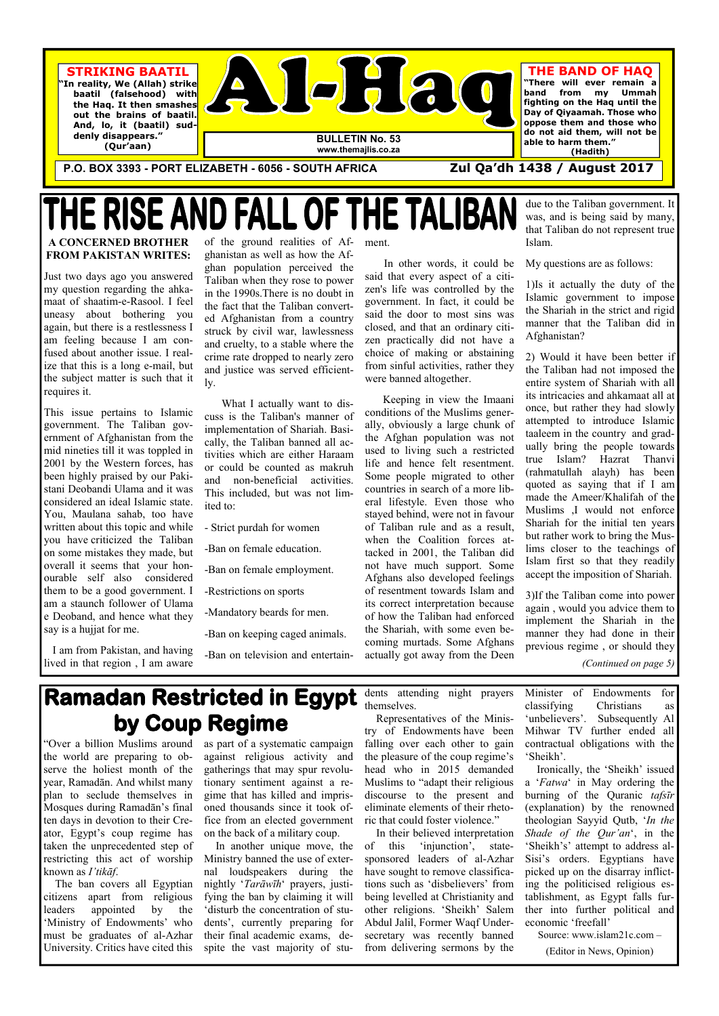**P.O. BOX 3393 - PORT ELIZABETH - 6056 - SOUTH AFRICA Zul Qa'dh 1438 / August 2017** 

# THE RISE AND FALL OF THE TALIBAN



"Over a billion Muslims around as part of a systematic campaign serve the holiest month of the year, Ramadān. And whilst many plan to seclude themselves in Mosques during Ramadān's final ten days in devotion to their Creator, Egypt's coup regime has taken the unprecedented step of restricting this act of worship known as *I'tikāf*. The ban covers all Egyptian citizens apart from religious leaders appointed by the 'Ministry of Endowments' who must be graduates of al-Azhar University. Critics have cited this

the world are preparing to ob-against religious activity and gatherings that may spur revolutionary sentiment against a regime that has killed and imprisoned thousands since it took office from an elected government on the back of a military coup. In another unique move, the Ministry banned the use of external loudspeakers during the nightly '*Tarāwīh*' prayers, justifying the ban by claiming it will 'disturb the concentration of students', currently preparing for their final academic exams, despite the vast majority of stu-

dents attending night prayers themselves.

 Representatives of the Ministry of Endowments have been falling over each other to gain the pleasure of the coup regime's head who in 2015 demanded Muslims to "adapt their religious discourse to the present and eliminate elements of their rhetoric that could foster violence." In their believed interpretation of this 'injunction', statesponsored leaders of al-Azhar have sought to remove classifications such as 'disbelievers' from being levelled at Christianity and other religions. 'Sheikh' Salem Abdul Jalil, Former Waqf Undersecretary was recently banned from delivering sermons by the

Minister of Endowments for classifying Christians as 'unbelievers'. Subsequently Al Mihwar TV further ended all contractual obligations with the 'Sheikh'.

 Ironically, the 'Sheikh' issued a '*Fatwa*' in May ordering the burning of the Quranic *tafsīr* (explanation) by the renowned theologian Sayyid Qutb, '*In the Shade of the Qur'an*', in the 'Sheikh's' attempt to address al-Sisi's orders. Egyptians have picked up on the disarray inflicting the politicised religious establishment, as Egypt falls further into further political and economic 'freefall'

Source: www.islam21c.com –

(Editor in News, Opinion)

### **A CONCERNED BROTHER FROM PAKISTAN WRITES:**

Just two days ago you answered my question regarding the ahkamaat of shaatim-e-Rasool. I feel uneasy about bothering you again, but there is a restlessness I am feeling because I am confused about another issue. I realize that this is a long e-mail, but the subject matter is such that it requires it.

This issue pertains to Islamic government. The Taliban government of Afghanistan from the mid nineties till it was toppled in 2001 by the Western forces, has been highly praised by our Pakistani Deobandi Ulama and it was considered an ideal Islamic state. You, Maulana sahab, too have written about this topic and while you have criticized the Taliban on some mistakes they made, but overall it seems that your honourable self also considered them to be a good government. I am a staunch follower of Ulama e Deoband, and hence what they say is a hujjat for me.

 I am from Pakistan, and having lived in that region , I am aware

of the ground realities of Afghanistan as well as how the Afghan population perceived the Taliban when they rose to power in the 1990s.There is no doubt in the fact that the Taliban converted Afghanistan from a country struck by civil war, lawlessness and cruelty, to a stable where the crime rate dropped to nearly zero and justice was served efficiently.

 What I actually want to discuss is the Taliban's manner of implementation of Shariah. Basically, the Taliban banned all activities which are either Haraam or could be counted as makruh and non-beneficial activities. This included, but was not limited to:

- Strict purdah for women
- -Ban on female education.
- -Ban on female employment.
- -Restrictions on sports
- -Mandatory beards for men.
- -Ban on keeping caged animals.
- -Ban on television and entertain-

ment.

 In other words, it could be said that every aspect of a citizen's life was controlled by the government. In fact, it could be said the door to most sins was closed, and that an ordinary citizen practically did not have a choice of making or abstaining from sinful activities, rather they were banned altogether.

 Keeping in view the Imaani conditions of the Muslims generally, obviously a large chunk of the Afghan population was not used to living such a restricted life and hence felt resentment. Some people migrated to other countries in search of a more liberal lifestyle. Even those who stayed behind, were not in favour of Taliban rule and as a result, when the Coalition forces attacked in 2001, the Taliban did not have much support. Some Afghans also developed feelings of resentment towards Islam and its correct interpretation because of how the Taliban had enforced the Shariah, with some even becoming murtads. Some Afghans actually got away from the Deen

due to the Taliban government. It was, and is being said by many, that Taliban do not represent true Islam.

My questions are as follows:

1)Is it actually the duty of the Islamic government to impose the Shariah in the strict and rigid manner that the Taliban did in Afghanistan?

2) Would it have been better if the Taliban had not imposed the entire system of Shariah with all its intricacies and ahkamaat all at once, but rather they had slowly attempted to introduce Islamic taaleem in the country and gradually bring the people towards true Islam? Hazrat Thanvi (rahmatullah alayh) has been quoted as saying that if I am made the Ameer/Khalifah of the Muslims ,I would not enforce Shariah for the initial ten years but rather work to bring the Muslims closer to the teachings of Islam first so that they readily accept the imposition of Shariah.

3)If the Taliban come into power again , would you advice them to implement the Shariah in the manner they had done in their previous regime , or should they

*(Continued on page 5)* 

## **Ramadan Restricted in Egypt** by Coup Regime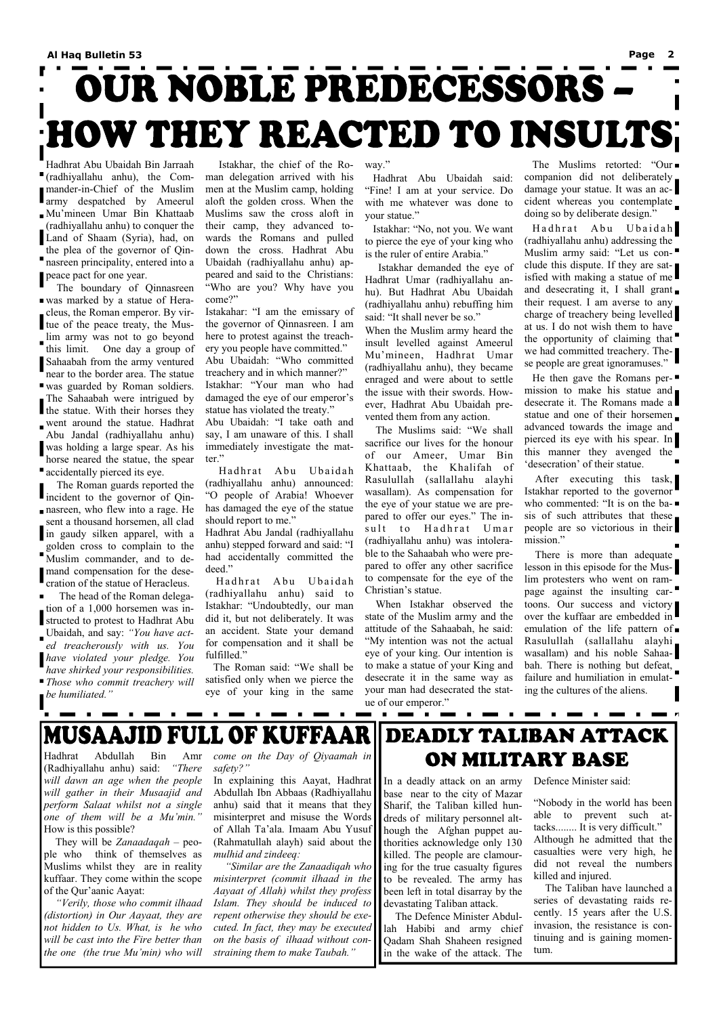# OUR NOBLE PREDECESSORS -HOW THEY REACTED TO INSULTS

Hadhrat Abu Ubaidah Bin Jarraah (radhiyallahu anhu), the Commander-in-Chief of the Muslim army despatched by Ameerul Mu'mineen Umar Bin Khattaab (radhiyallahu anhu) to conquer the Land of Shaam (Syria), had, on the plea of the governor of Qinnasreen principality, entered into a peace pact for one year.

 The boundary of Qinnasreen was marked by a statue of Heracleus, the Roman emperor. By virtue of the peace treaty, the Muslim army was not to go beyond this limit. One day a group of Sahaabah from the army ventured near to the border area. The statue was guarded by Roman soldiers. The Sahaabah were intrigued by the statue. With their horses they went around the statue. Hadhrat Abu Jandal (radhiyallahu anhu) was holding a large spear. As his horse neared the statue, the spear accidentally pierced its eye.

 The Roman guards reported the incident to the governor of Qinnasreen, who flew into a rage. He sent a thousand horsemen, all clad in gaudy silken apparel, with a golden cross to complain to the Muslim commander, and to demand compensation for the dese-<br>eration of the state of the state of the state of the state of the state of the state of the state of the state of the state of the state of the state of the state of the state of the state cration of the statue of Heracleus.

Hadhrat Abu Ubaidah (radhiyallahu anhu) announced: "O people of Arabia! Whoever has damaged the eye of the statue should report to me."

 The head of the Roman delegation of a 1,000 horsemen was instructed to protest to Hadhrat Abu Ubaidah, and say: *"You have acted treacherously with us. You have violated your pledge. You have shirked your responsibilities.* 

Hadhrat Abu Ubaidah (radhiyallahu anhu) said to Istakhar: "Undoubtedly, our man did it, but not deliberately. It was an accident. State your demand for compensation and it shall be fulfilled."

*Those who commit treachery will be humiliated."* 

 Istakhar, the chief of the Roman delegation arrived with his men at the Muslim camp, holding aloft the golden cross. When the Muslims saw the cross aloft in their camp, they advanced towards the Romans and pulled down the cross. Hadhrat Abu Ubaidah (radhiyallahu anhu) appeared and said to the Christians: "Who are you? Why have you come?"

Istakahar: "I am the emissary of the governor of Qinnasreen. I am here to protest against the treachery you people have committed." Abu Ubaidah: "Who committed treachery and in which manner?" Istakhar: "Your man who had damaged the eye of our emperor's statue has violated the treaty."

Abu Ubaidah: "I take oath and say, I am unaware of this. I shall immediately investigate the matter."

Hadhrat Abu Ubaidah (radhiyallahu anhu) addressing the Muslim army said: "Let us conclude this dispute. If they are satisfied with making a statue of me and desecrating it, I shall grant  $\blacksquare$ their request. I am averse to any charge of treachery being levelled at us. I do not wish them to have the opportunity of claiming that we had committed treachery. These people are great ignoramuses."

Hadhrat Abu Jandal (radhiyallahu anhu) stepped forward and said: "I had accidentally committed the deed."

He then gave the Romans per- $\blacksquare$ mission to make his statue and desecrate it. The Romans made a statue and one of their horsemen advanced towards the image and pierced its eye with his spear. In this manner they avenged the 'desecration' of their statue.

After executing this task, Istakhar reported to the governor who commented: "It is on the basis of such attributes that these. people are so victorious in their mission."

 The Roman said: "We shall be satisfied only when we pierce the eye of your king in the same

There is more than adequate lesson in this episode for the Muslim protesters who went on rampage against the insulting cartoons. Our success and victory over the kuffaar are embedded in emulation of the life pattern of Rasulullah (sallallahu alayhi wasallam) and his noble Sahaabah. There is nothing but defeat, failure and humiliation in emulating the cultures of the aliens.

way."

 Hadhrat Abu Ubaidah said: "Fine! I am at your service. Do with me whatever was done to your statue."

 Istakhar: "No, not you. We want to pierce the eye of your king who is the ruler of entire Arabia."

 Istakhar demanded the eye of Hadhrat Umar (radhiyallahu anhu). But Hadhrat Abu Ubaidah (radhiyallahu anhu) rebuffing him said: "It shall never be so."

In explaining this Aayat, Hadhrat In a deadly attack on an army Abdullah Ibn Abbaas (Radhiyallahu anhu) said that it means that they misinterpret and misuse the Words of Allah Ta'ala. Imaam Abu Yusuf (Rahmatullah alayh) said about the *mulhid and zindeeq:* 

When the Muslim army heard the insult levelled against Ameerul Mu'mineen, Hadhrat Umar (radhiyallahu anhu), they became enraged and were about to settle the issue with their swords. However, Hadhrat Abu Ubaidah prevented them from any action.

 The Muslims said: "We shall sacrifice our lives for the honour of our Ameer, Umar Bin Khattaab, the Khalifah of Rasulullah (sallallahu alayhi wasallam). As compensation for the eye of your statue we are prepared to offer our eyes." The insult to Hadhrat Umar (radhiyallahu anhu) was intolerable to the Sahaabah who were prepared to offer any other sacrifice to compensate for the eye of the Christian's statue.

 When Istakhar observed the state of the Muslim army and the attitude of the Sahaabah, he said: "My intention was not the actual eye of your king. Our intention is to make a statue of your King and desecrate it in the same way as your man had desecrated the statue of our emperor."

 The Muslims retorted: "Our companion did not deliberately damage your statue. It was an accident whereas you contemplate doing so by deliberate design."

(Radhiyallahu anhu) said: *"There will dawn an age when the people will gather in their Musaajid and perform Salaat whilst not a single one of them will be a Mu'min."*  How is this possible?



DEADLY TALIBAN ATTACK ON MILITARY BASE

 They will be *Zanaadaqah* – people who think of themselves as Muslims whilst they are in reality kuffaar. They come within the scope of the Qur'aanic Aayat:

*"Verily, those who commit ilhaad (distortion) in Our Aayaat, they are not hidden to Us. What, is he who will be cast into the Fire better than the one (the true Mu'min) who will* 

*safety?"* 

 *"Similar are the Zanaadiqah who misinterpret (commit ilhaad in the Aayaat of Allah) whilst they profess Islam. They should be induced to repent otherwise they should be executed. In fact, they may be executed on the basis of ilhaad without constraining them to make Taubah."*

base near to the city of Mazar Sharif, the Taliban killed hundreds of military personnel although the Afghan puppet authorities acknowledge only 130 killed. The people are clamouring for the true casualty figures to be revealed. The army has been left in total disarray by the devastating Taliban attack. The Defence Minister Abdullah Habibi and army chief Qadam Shah Shaheen resigned in the wake of the attack. The

Defence Minister said:

"Nobody in the world has been able to prevent such attacks........ It is very difficult." Although he admitted that the casualties were very high, he did not reveal the numbers killed and injured.

 The Taliban have launched a series of devastating raids recently. 15 years after the U.S. invasion, the resistance is continuing and is gaining momentum.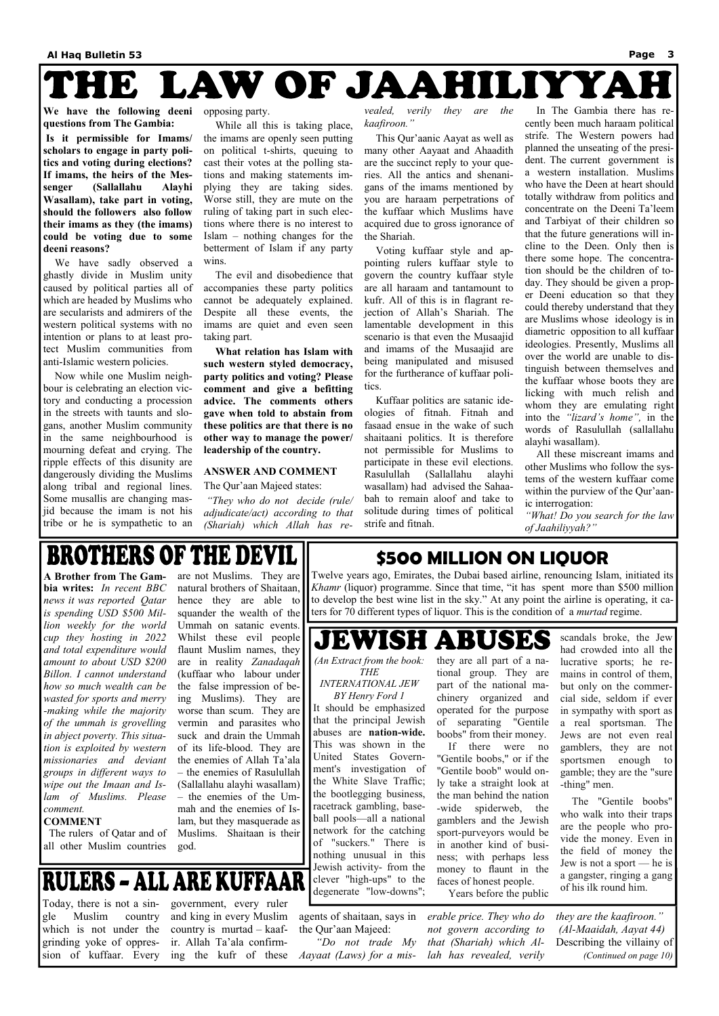# THE LAW OF JAAHILIYYA!

**We have the following deeni questions from The Gambia:** 

**Is it permissible for Imams/ scholars to engage in party politics and voting during elections? If imams, the heirs of the Messenger (Sallallahu Alayhi Wasallam), take part in voting, should the followers also follow their imams as they (the imams) could be voting due to some deeni reasons?** 

 We have sadly observed a ghastly divide in Muslim unity caused by political parties all of which are headed by Muslims who are secularists and admirers of the western political systems with no intention or plans to at least protect Muslim communities from anti-Islamic western policies.

 Now while one Muslim neighbour is celebrating an election victory and conducting a procession in the streets with taunts and slogans, another Muslim community in the same neighbourhood is mourning defeat and crying. The ripple effects of this disunity are dangerously dividing the Muslims along tribal and regional lines. Some musallis are changing masjid because the imam is not his tribe or he is sympathetic to an opposing party.

 While all this is taking place, the imams are openly seen putting on political t-shirts, queuing to cast their votes at the polling stations and making statements implying they are taking sides. Worse still, they are mute on the ruling of taking part in such elections where there is no interest to Islam – nothing changes for the betterment of Islam if any party wins.

 The evil and disobedience that accompanies these party politics cannot be adequately explained. Despite all these events, the imams are quiet and even seen taking part.

**What relation has Islam with such western styled democracy, party politics and voting? Please comment and give a befitting advice. The comments others gave when told to abstain from these politics are that there is no other way to manage the power/ leadership of the country.** 

### **ANSWER AND COMMENT**

The Qur'aan Majeed states:

*"They who do not decide (rule/ adjudicate/act) according to that (Shariah) which Allah has re-* *vealed, verily they are the kaafiroon."*

 This Qur'aanic Aayat as well as many other Aayaat and Ahaadith are the succinct reply to your queries. All the antics and shenanigans of the imams mentioned by you are haraam perpetrations of the kuffaar which Muslims have acquired due to gross ignorance of the Shariah.

 Voting kuffaar style and appointing rulers kuffaar style to govern the country kuffaar style are all haraam and tantamount to kufr. All of this is in flagrant rejection of Allah's Shariah. The lamentable development in this scenario is that even the Musaajid and imams of the Musaajid are being manipulated and misused for the furtherance of kuffaar politics.

 Kuffaar politics are satanic ideologies of fitnah. Fitnah and fasaad ensue in the wake of such shaitaani politics. It is therefore not permissible for Muslims to participate in these evil elections. Rasulullah (Sallallahu alayhi wasallam) had advised the Sahaabah to remain aloof and take to solitude during times of political strife and fitnah.

 In The Gambia there has recently been much haraam political strife. The Western powers had planned the unseating of the president. The current government is a western installation. Muslims who have the Deen at heart should totally withdraw from politics and concentrate on the Deeni Ta'leem and Tarbiyat of their children so that the future generations will incline to the Deen. Only then is there some hope. The concentration should be the children of today. They should be given a proper Deeni education so that they could thereby understand that they are Muslims whose ideology is in diametric opposition to all kuffaar ideologies. Presently, Muslims all over the world are unable to distinguish between themselves and the kuffaar whose boots they are licking with much relish and whom they are emulating right into the *"lizard's home",* in the words of Rasulullah (sallallahu alayhi wasallam).

 All these miscreant imams and other Muslims who follow the systems of the western kuffaar come within the purview of the Qur'aanic interrogation:

*"What! Do you search for the law of Jaahiliyyah?"* 

## **BROTHERS OF THE DEVIL**

**\$500 MILLION ON LIQUOR**  Twelve years ago, Emirates, the Dubai based airline, renouncing Islam, initiated its *Khamr* (liquor) programme. Since that time, "it has spent more than \$500 million to develop the best wine list in the sky." At any point the airline is operating, it caters for 70 different types of liquor. This is the condition of a *murtad* regime.

Today, there is not a single Muslim country which is not under the grinding yoke of oppression of kuffaar. Every government, every ruler and king in every Muslim country is murtad – kaafir. Allah Ta'ala confirming the kufr of these

agents of shaitaan, says in the Qur'aan Majeed: *"Do not trade My Aayaat (Laws) for a miserable price. They who do not govern according to that (Shariah) which Allah has revealed, verily*  *they are the kaafiroon." (Al-Maaidah, Aayat 44)*  Describing the villainy of *(Continued on page 10)* 

*INTERNATIONAL JEW BY Henry Ford 1* 



It should be emphasized that the principal Jewish abuses are **nation-wide.** This was shown in the United States Government's investigation of the White Slave Traffic; the bootlegging business, racetrack gambling, baseball pools—all a national network for the catching of "suckers." There is nothing unusual in this Jewish activity- from the clever "high-ups" to the degenerate "low-downs";

part of the national machinery organized and operated for the purpose of separating "Gentile boobs" from their money. If there were no

"Gentile boobs," or if the

"Gentile boob" would only take a straight look at the man behind the nation -wide spiderweb, the gamblers and the Jewish sport-purveyors would be in another kind of business; with perhaps less money to flaunt in the faces of honest people. Years before the public

scandals broke, the Jew had crowded into all the lucrative sports; he remains in control of them, but only on the commercial side, seldom if ever in sympathy with sport as a real sportsman. The Jews are not even real gamblers, they are not sportsmen enough to gamble; they are the "sure -thing" men.

## **RULERS - ALL ARE KUFFAAR**

 The "Gentile boobs" who walk into their traps are the people who provide the money. Even in the field of money the Jew is not a sport — he is a gangster, ringing a gang of his ilk round him.

**A Brother from The Gambia writes:** *In recent BBC news it was reported Qatar is spending USD \$500 Million weekly for the world cup they hosting in 2022 and total expenditure would amount to about USD \$200 Billon. I cannot understand how so much wealth can be wasted for sports and merry -making while the majority of the ummah is grovelling in abject poverty. This situation is exploited by western missionaries and deviant groups in different ways to wipe out the Imaan and Islam of Muslims. Please comment.*  **COMMENT**  The rulers of Qatar and of all other Muslim countries

are not Muslims. They are natural brothers of Shaitaan, hence they are able to squander the wealth of the Ummah on satanic events. Whilst these evil people flaunt Muslim names, they are in reality *Zanadaqah*  (kuffaar who labour under the false impression of being Muslims). They are worse than scum. They are vermin and parasites who suck and drain the Ummah of its life-blood. They are the enemies of Allah Ta'ala – the enemies of Rasulullah (Sallallahu alayhi wasallam) – the enemies of the Ummah and the enemies of Islam, but they masquerade as Muslims. Shaitaan is their god.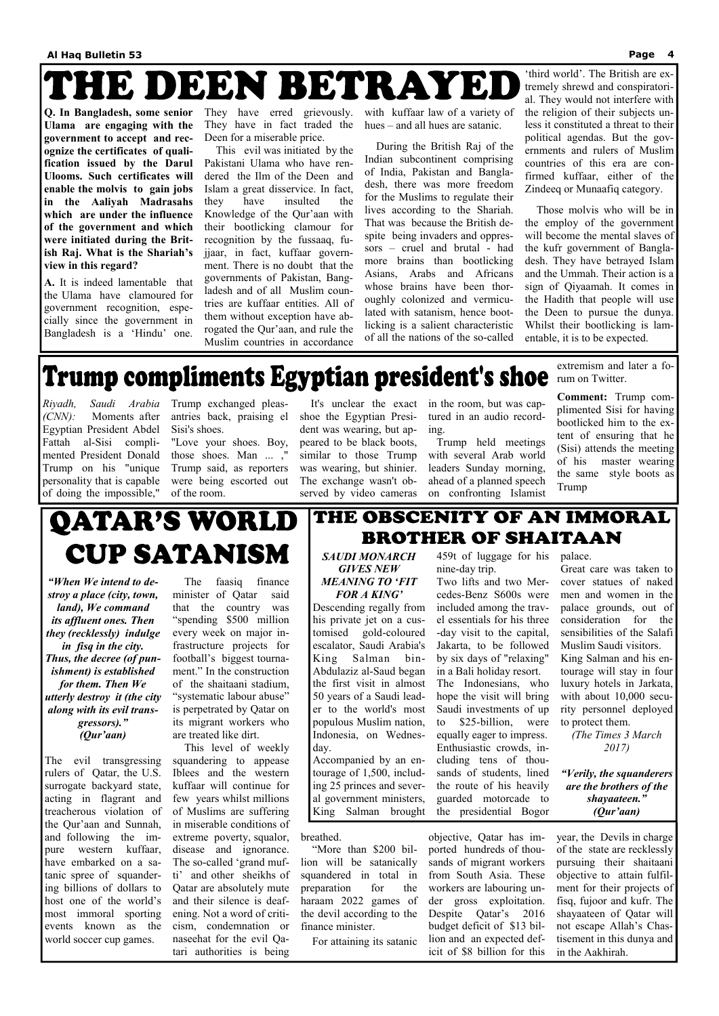# NHE DEEN BETRAYED

**Q. In Bangladesh, some senior Ulama are engaging with the government to accept and recognize the certificates of qualification issued by the Darul Ulooms. Such certificates will enable the molvis to gain jobs in the Aaliyah Madrasahs which are under the influence of the government and which were initiated during the British Raj. What is the Shariah's view in this regard?** 

**A.** It is indeed lamentable that the Ulama have clamoured for government recognition, especially since the government in Bangladesh is a 'Hindu' one.

They have erred grievously. They have in fact traded the Deen for a miserable price.

 This evil was initiated by the Pakistani Ulama who have rendered the Ilm of the Deen and Islam a great disservice. In fact, they have insulted the Knowledge of the Qur'aan with their bootlicking clamour for recognition by the fussaaq, fujjaar, in fact, kuffaar government. There is no doubt that the governments of Pakistan, Bangladesh and of all Muslim countries are kuffaar entities. All of them without exception have abrogated the Qur'aan, and rule the Muslim countries in accordance with kuffaar law of a variety of hues – and all hues are satanic.

 During the British Raj of the Indian subcontinent comprising of India, Pakistan and Bangladesh, there was more freedom for the Muslims to regulate their lives according to the Shariah. That was because the British despite being invaders and oppressors – cruel and brutal - had more brains than bootlicking Asians, Arabs and Africans whose brains have been thoroughly colonized and vermiculated with satanism, hence bootlicking is a salient characteristic of all the nations of the so-called

'third world'. The British are extremely shrewd and conspiratorial. They would not interfere with the religion of their subjects unless it constituted a threat to their political agendas. But the governments and rulers of Muslim countries of this era are confirmed kuffaar, either of the Zindeeq or Munaafiq category.

 Those molvis who will be in the employ of the government will become the mental slaves of the kufr government of Bangladesh. They have betrayed Islam and the Ummah. Their action is a sign of Qiyaamah. It comes in the Hadith that people will use the Deen to pursue the dunya. Whilst their bootlicking is lamentable, it is to be expected.

## Trump compliments Egyptian president's shoe

*(CNN):* Moments after Egyptian President Abdel Fattah al-Sisi complimented President Donald Trump on his "unique personality that is capable of doing the impossible,"

*Riyadh, Saudi Arabia*  Trump exchanged pleasantries back, praising el Sisi's shoes.

"Love your shoes. Boy, those shoes. Man ..., Trump said, as reporters were being escorted out of the room.

 It's unclear the exact shoe the Egyptian President was wearing, but appeared to be black boots, similar to those Trump was wearing, but shinier. The exchange wasn't observed by video cameras

in the room, but was captured in an audio recording.

 Trump held meetings with several Arab world leaders Sunday morning, ahead of a planned speech on confronting Islamist

extremism and later a forum on Twitter.

**Comment:** Trump complimented Sisi for having bootlicked him to the extent of ensuring that he (Sisi) attends the meeting of his master wearing the same style boots as Trump

## **QATAR'S WORLD CUP SATANISM**

*"When We intend to destroy a place (city, town, land), We command its affluent ones. Then they (recklessly) indulge in fisq in the city. Thus, the decree (of punishment) is established for them. Then We utterly destroy it (the city along with its evil transgressors)." (Qur'aan)* 

rulers of Qatar, the U.S. surrogate backyard state, acting in flagrant and treacherous violation of the Qur'aan and Sunnah, and following the impure western kuffaar, have embarked on a satanic spree of squandering billions of dollars to host one of the world's most immoral sporting events known as the world soccer cup games.

 The faasiq finance minister of Qatar said that the country was "spending \$500 million every week on major infrastructure projects for football's biggest tournament." In the construction of the shaitaani stadium, "systematic labour abuse" is perpetrated by Qatar on its migrant workers who are treated like dirt.

The evil transgressing This level of weekly squandering to appease Iblees and the western kuffaar will continue for few years whilst millions of Muslims are suffering in miserable conditions of extreme poverty, squalor, disease and ignorance. The so-called 'grand mufti' and other sheikhs of Qatar are absolutely mute and their silence is deafening. Not a word of criticism, condemnation or naseehat for the evil Qatari authorities is being

### THE OBSCENITY OF AN IMMORAL **BROTHER OF SHAITAAN**

breathed.

finance minister.

 "More than \$200 billion will be satanically squandered in total in preparation for the haraam 2022 games of the devil according to the For attaining its satanic objective, Qatar has imported hundreds of thousands of migrant workers from South Asia. These workers are labouring under gross exploitation. Despite Qatar's 2016 budget deficit of \$13 billion and an expected deficit of \$8 billion for this year, the Devils in charge of the state are recklessly pursuing their shaitaani objective to attain fulfilment for their projects of fisq, fujoor and kufr. The shayaateen of Qatar will not escape Allah's Chastisement in this dunya and in the Aakhirah.

*SAUDI MONARCH GIVES NEW MEANING TO 'FIT FOR A KING'* 

Descending regally from his private jet on a customised gold-coloured escalator, Saudi Arabia's King Salman bin-Abdulaziz al-Saud began the first visit in almost 50 years of a Saudi leader to the world's most populous Muslim nation, Indonesia, on Wednesday.

Accompanied by an en-

459t of luggage for his palace. nine-day trip.

Two lifts and two Mercedes-Benz S600s were included among the travel essentials for his three -day visit to the capital, Jakarta, to be followed by six days of "relaxing" in a Bali holiday resort.

The Indonesians, who hope the visit will bring Saudi investments of up to \$25-billion, were equally eager to impress. Enthusiastic crowds, including tens of thou-

tourage of 1,500, including 25 princes and several government ministers, King Salman brought sands of students, lined the route of his heavily guarded motorcade to the presidential Bogor *"Verily, the squanderers are the brothers of the shayaateen." (Qur'aan)* 

Great care was taken to cover statues of naked men and women in the palace grounds, out of consideration for the sensibilities of the Salafi Muslim Saudi visitors. King Salman and his entourage will stay in four luxury hotels in Jarkata, with about 10,000 security personnel deployed to protect them.

*(The Times 3 March 2017)*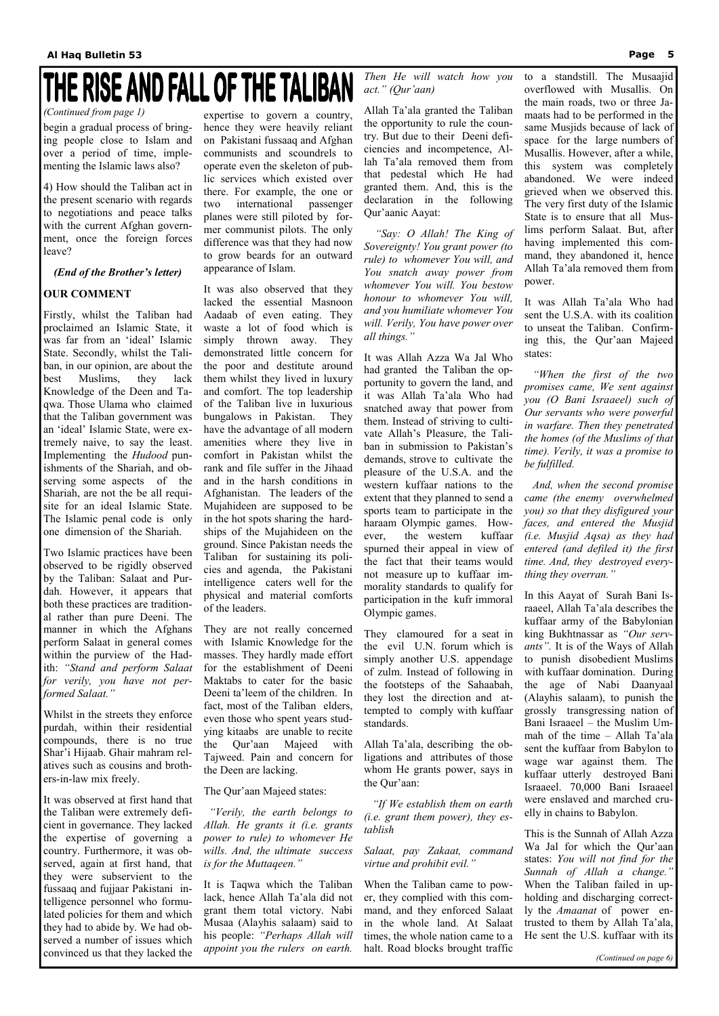begin a gradual process of bringing people close to Islam and over a period of time, implementing the Islamic laws also?

4) How should the Taliban act in the present scenario with regards to negotiations and peace talks with the current Afghan government, once the foreign forces leave?

### *(End of the Brother's letter)*

### **OUR COMMENT**

Firstly, whilst the Taliban had proclaimed an Islamic State, it was far from an 'ideal' Islamic State. Secondly, whilst the Taliban, in our opinion, are about the best Muslims, they lack Knowledge of the Deen and Taqwa. Those Ulama who claimed that the Taliban government was an 'ideal' Islamic State, were extremely naive, to say the least. Implementing the *Hudood* punishments of the Shariah, and observing some aspects of the Shariah, are not the be all requisite for an ideal Islamic State. The Islamic penal code is only one dimension of the Shariah.

Two Islamic practices have been observed to be rigidly observed by the Taliban: Salaat and Purdah. However, it appears that both these practices are traditional rather than pure Deeni. The manner in which the Afghans perform Salaat in general comes within the purview of the Hadith: *"Stand and perform Salaat for verily, you have not performed Salaat."* 

Whilst in the streets they enforce purdah, within their residential compounds, there is no true Shar'i Hijaab. Ghair mahram relatives such as cousins and brothers-in-law mix freely.

It was observed at first hand that the Taliban were extremely deficient in governance. They lacked the expertise of governing a country. Furthermore, it was observed, again at first hand, that they were subservient to the fussaaq and fujjaar Pakistani intelligence personnel who formulated policies for them and which they had to abide by. We had observed a number of issues which convinced us that they lacked the

expertise to govern a country, hence they were heavily reliant on Pakistani fussaaq and Afghan communists and scoundrels to operate even the skeleton of public services which existed over there. For example, the one or two international passenger planes were still piloted by former communist pilots. The only difference was that they had now to grow beards for an outward appearance of Islam.

It was also observed that they lacked the essential Masnoon Aadaab of even eating. They waste a lot of food which is simply thrown away. They demonstrated little concern for the poor and destitute around them whilst they lived in luxury and comfort. The top leadership of the Taliban live in luxurious bungalows in Pakistan. They have the advantage of all modern amenities where they live in comfort in Pakistan whilst the rank and file suffer in the Jihaad and in the harsh conditions in Afghanistan. The leaders of the Mujahideen are supposed to be in the hot spots sharing the hardships of the Mujahideen on the ground. Since Pakistan needs the Taliban for sustaining its policies and agenda, the Pakistani intelligence caters well for the physical and material comforts of the leaders.

They are not really concerned with Islamic Knowledge for the masses. They hardly made effort for the establishment of Deeni Maktabs to cater for the basic Deeni ta'leem of the children. In fact, most of the Taliban elders, even those who spent years studying kitaabs are unable to recite the Qur'aan Majeed with Tajweed. Pain and concern for

the Deen are lacking.

The Qur'aan Majeed states:

 *"Verily, the earth belongs to Allah. He grants it (i.e. grants power to rule) to whomever He wills. And, the ultimate success is for the Muttaqeen."*

It is Taqwa which the Taliban lack, hence Allah Ta'ala did not grant them total victory. Nabi Musaa (Alayhis salaam) said to his people: *"Perhaps Allah will appoint you the rulers on earth.* 

*Then He will watch how you act." (Qur'aan)*

Allah Ta'ala granted the Taliban the opportunity to rule the country. But due to their Deeni deficiencies and incompetence, Allah Ta'ala removed them from that pedestal which He had granted them. And, this is the declaration in the following Qur'aanic Aayat:

 *"Say: O Allah! The King of Sovereignty! You grant power (to rule) to whomever You will, and You snatch away power from whomever You will. You bestow honour to whomever You will, and you humiliate whomever You will. Verily, You have power over all things."* 

It was Allah Azza Wa Jal Who had granted the Taliban the opportunity to govern the land, and it was Allah Ta'ala Who had snatched away that power from them. Instead of striving to cultivate Allah's Pleasure, the Taliban in submission to Pakistan's demands, strove to cultivate the pleasure of the U.S.A. and the western kuffaar nations to the extent that they planned to send a sports team to participate in the haraam Olympic games. However, the western kuffaar spurned their appeal in view of the fact that their teams would not measure up to kuffaar immorality standards to qualify for participation in the kufr immoral Olympic games.

They clamoured for a seat in the evil U.N. forum which is simply another U.S. appendage of zulm. Instead of following in the footsteps of the Sahaabah, they lost the direction and attempted to comply with kuffaar standards.

Allah Ta'ala, describing the obligations and attributes of those

whom He grants power, says in the Qur'aan:

 *"If We establish them on earth (i.e. grant them power), they establish* 

*Salaat, pay Zakaat, command virtue and prohibit evil."* 

When the Taliban came to power, they complied with this command, and they enforced Salaat in the whole land. At Salaat times, the whole nation came to a halt. Road blocks brought traffic

to a standstill. The Musaajid overflowed with Musallis. On the main roads, two or three Jamaats had to be performed in the same Musjids because of lack of space for the large numbers of Musallis. However, after a while, this system was completely abandoned. We were indeed grieved when we observed this. The very first duty of the Islamic State is to ensure that all Muslims perform Salaat. But, after having implemented this command, they abandoned it, hence Allah Ta'ala removed them from power.

It was Allah Ta'ala Who had sent the U.S.A. with its coalition to unseat the Taliban. Confirming this, the Qur'aan Majeed states:

 *"When the first of the two promises came, We sent against you (O Bani Israaeel) such of Our servants who were powerful in warfare. Then they penetrated the homes (of the Muslims of that time). Verily, it was a promise to be fulfilled.* 

 *And, when the second promise came (the enemy overwhelmed you) so that they disfigured your faces, and entered the Musjid (i.e. Musjid Aqsa) as they had entered (and defiled it) the first time. And, they destroyed everything they overran."* 

In this Aayat of Surah Bani Israaeel, Allah Ta'ala describes the kuffaar army of the Babylonian king Bukhtnassar as *"Our servants".* It is of the Ways of Allah to punish disobedient Muslims with kuffaar domination. During the age of Nabi Daanyaal (Alayhis salaam), to punish the grossly transgressing nation of Bani Israaeel – the Muslim Ummah of the time – Allah Ta'ala sent the kuffaar from Babylon to wage war against them. The

kuffaar utterly destroyed Bani Israaeel. 70,000 Bani Israaeel were enslaved and marched cruelly in chains to Babylon.

This is the Sunnah of Allah Azza Wa Jal for which the Qur'aan states: *You will not find for the Sunnah of Allah a change."* When the Taliban failed in upholding and discharging correctly the *Amaanat* of power entrusted to them by Allah Ta'ala, He sent the U.S. kuffaar with its

#### *(Continued from page 1)*

*(Continued on page 6)*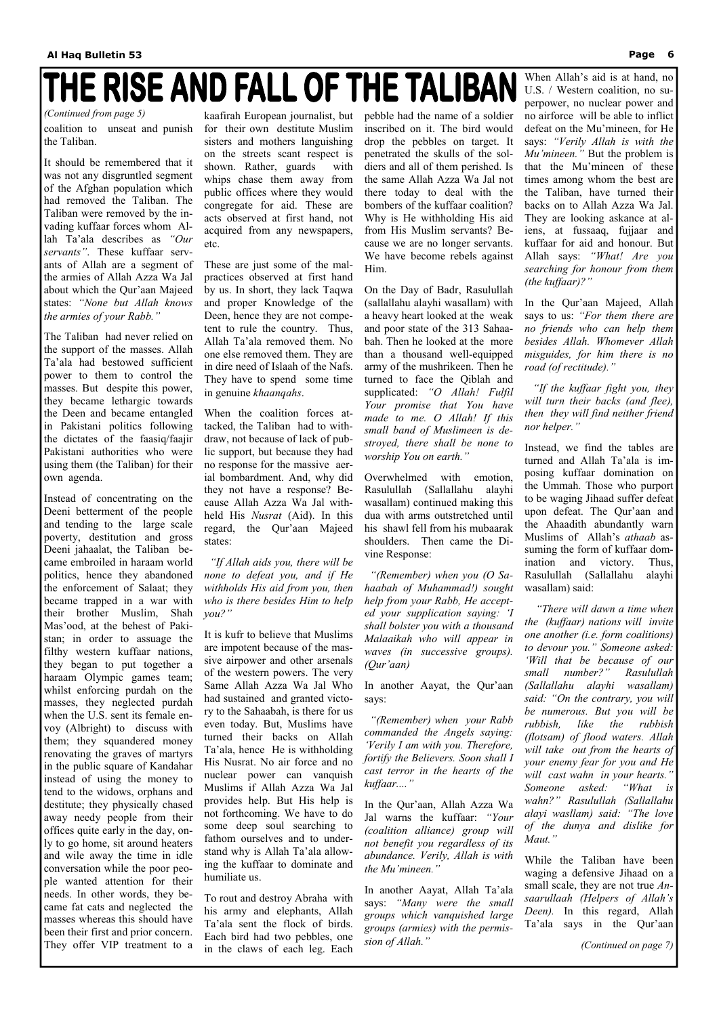coalition to unseat and punish the Taliban.

It should be remembered that it was not any disgruntled segment of the Afghan population which had removed the Taliban. The Taliban were removed by the invading kuffaar forces whom Allah Ta'ala describes as *"Our servants"*. These kuffaar servants of Allah are a segment of the armies of Allah Azza Wa Jal about which the Qur'aan Majeed states: *"None but Allah knows the armies of your Rabb."*

The Taliban had never relied on the support of the masses. Allah Ta'ala had bestowed sufficient power to them to control the masses. But despite this power, they became lethargic towards the Deen and became entangled in Pakistani politics following the dictates of the faasiq/faajir Pakistani authorities who were using them (the Taliban) for their own agenda.

Instead of concentrating on the Deeni betterment of the people and tending to the large scale poverty, destitution and gross Deeni jahaalat, the Taliban became embroiled in haraam world politics, hence they abandoned the enforcement of Salaat; they became trapped in a war with their brother Muslim, Shah Mas'ood, at the behest of Pakistan; in order to assuage the filthy western kuffaar nations, they began to put together a haraam Olympic games team; whilst enforcing purdah on the masses, they neglected purdah when the U.S. sent its female envoy (Albright) to discuss with them; they squandered money renovating the graves of martyrs in the public square of Kandahar instead of using the money to tend to the widows, orphans and destitute; they physically chased away needy people from their offices quite early in the day, only to go home, sit around heaters and wile away the time in idle conversation while the poor people wanted attention for their needs. In other words, they became fat cats and neglected the masses whereas this should have been their first and prior concern. They offer VIP treatment to a

kaafirah European journalist, but for their own destitute Muslim sisters and mothers languishing on the streets scant respect is shown. Rather, guards with whips chase them away from public offices where they would congregate for aid. These are acts observed at first hand, not acquired from any newspapers, etc.

These are just some of the malpractices observed at first hand by us. In short, they lack Taqwa and proper Knowledge of the Deen, hence they are not competent to rule the country. Thus, Allah Ta'ala removed them. No one else removed them. They are in dire need of Islaah of the Nafs. They have to spend some time in genuine *khaanqahs*.

When the coalition forces attacked, the Taliban had to withdraw, not because of lack of public support, but because they had no response for the massive aerial bombardment. And, why did they not have a response? Because Allah Azza Wa Jal withheld His *Nusrat* (Aid). In this regard, the Qur'aan Majeed states:

 *"If Allah aids you, there will be none to defeat you, and if He withholds His aid from you, then who is there besides Him to help you?"* 

It is kufr to believe that Muslims are impotent because of the massive airpower and other arsenals of the western powers. The very Same Allah Azza Wa Jal Who had sustained and granted victory to the Sahaabah, is there for us even today. But, Muslims have turned their backs on Allah Ta'ala, hence He is withholding His Nusrat. No air force and no nuclear power can vanquish Muslims if Allah Azza Wa Jal provides help. But His help is not forthcoming. We have to do some deep soul searching to fathom ourselves and to understand why is Allah Ta'ala allowing the kuffaar to dominate and humiliate us.

To rout and destroy Abraha with his army and elephants, Allah Ta'ala sent the flock of birds. Each bird had two pebbles, one in the claws of each leg. Each pebble had the name of a soldier inscribed on it. The bird would drop the pebbles on target. It penetrated the skulls of the soldiers and all of them perished. Is the same Allah Azza Wa Jal not there today to deal with the bombers of the kuffaar coalition? Why is He withholding His aid from His Muslim servants? Because we are no longer servants. We have become rebels against Him.

On the Day of Badr, Rasulullah (sallallahu alayhi wasallam) with a heavy heart looked at the weak and poor state of the 313 Sahaabah. Then he looked at the more than a thousand well-equipped army of the mushrikeen. Then he turned to face the Qiblah and supplicated: *"O Allah! Fulfil Your promise that You have made to me. O Allah! If this small band of Muslimeen is destroyed, there shall be none to worship You on earth."* 

Overwhelmed with emotion, Rasulullah (Sallallahu alayhi wasallam) continued making this dua with arms outstretched until his shawl fell from his mubaarak shoulders. Then came the Divine Response:

 *"(Remember) when you (O Sahaabah of Muhammad!) sought help from your Rabb, He accepted your supplication saying: 'I shall bolster you with a thousand Malaaikah who will appear in waves (in successive groups). (Qur'aan)* 

In another Aayat, the Qur'aan says:

 *"(Remember) when your Rabb commanded the Angels saying: 'Verily I am with you. Therefore, fortify the Believers. Soon shall I* 

*cast terror in the hearts of the kuffaar...."* 

In the Qur'aan, Allah Azza Wa Jal warns the kuffaar: *"Your (coalition alliance) group will not benefit you regardless of its abundance. Verily, Allah is with the Mu'mineen."* 

In another Aayat, Allah Ta'ala says: *"Many were the small groups which vanquished large groups (armies) with the permission of Allah."* 

When Allah's aid is at hand, no U.S. / Western coalition, no superpower, no nuclear power and no airforce will be able to inflict defeat on the Mu'mineen, for He says: *"Verily Allah is with the Mu'mineen."* But the problem is that the Mu'mineen of these times among whom the best are the Taliban, have turned their backs on to Allah Azza Wa Jal. They are looking askance at aliens, at fussaaq, fujjaar and kuffaar for aid and honour. But Allah says: *"What! Are you searching for honour from them (the kuffaar)?"* 

In the Qur'aan Majeed, Allah says to us: *"For them there are no friends who can help them besides Allah. Whomever Allah misguides, for him there is no road (of rectitude)."* 

 *"If the kuffaar fight you, they will turn their backs (and flee), then they will find neither friend nor helper."* 

Instead, we find the tables are turned and Allah Ta'ala is imposing kuffaar domination on the Ummah. Those who purport to be waging Jihaad suffer defeat upon defeat. The Qur'aan and the Ahaadith abundantly warn Muslims of Allah's *athaab* assuming the form of kuffaar domination and victory. Thus, Rasulullah (Sallallahu alayhi wasallam) said:

 *"There will dawn a time when the (kuffaar) nations will invite one another (i.e. form coalitions) to devour you." Someone asked: 'Will that be because of our small number?" Rasulullah (Sallallahu alayhi wasallam) said: "On the contrary, you will be numerous. But you will be rubbish, like the rubbish (flotsam) of flood waters. Allah will take out from the hearts of your enemy fear for you and He will cast wahn in your hearts."*  Someone asked: *wahn?" Rasulullah (Sallallahu alayi wasllam) said: "The love of the dunya and dislike for Maut."* 

While the Taliban have been waging a defensive Jihaad on a small scale, they are not true *Ansaarullaah (Helpers of Allah's Deen).* In this regard, Allah Ta'ala says in the Qur'aan

### *(Continued from page 5)*

*(Continued on page 7)*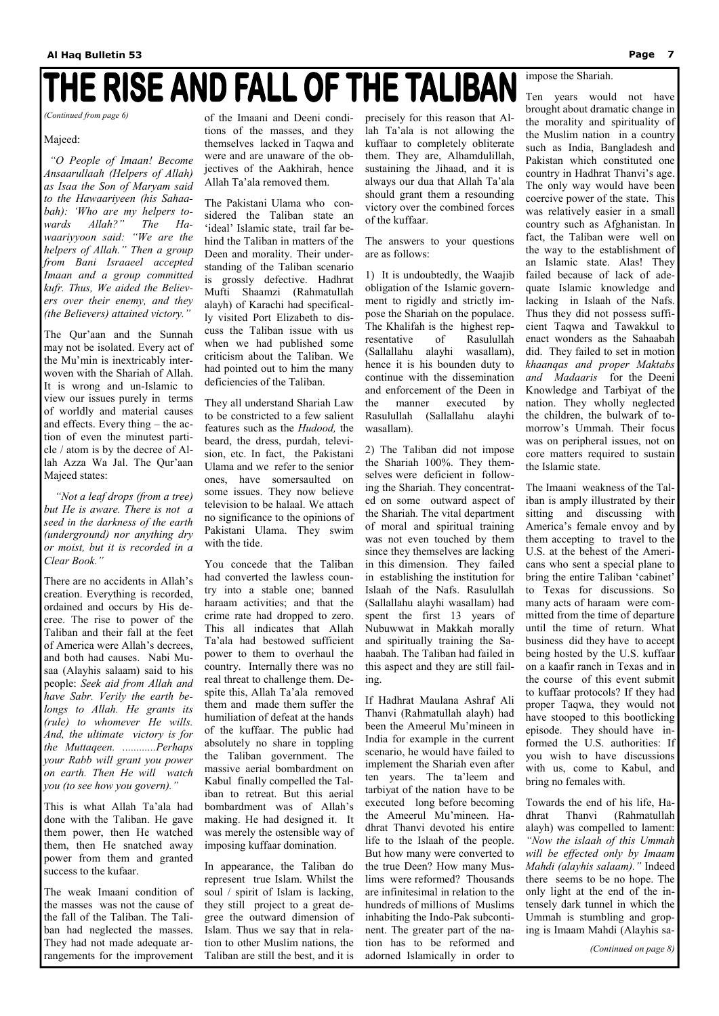#### Majeed:

 *"O People of Imaan! Become Ansaarullaah (Helpers of Allah) as Isaa the Son of Maryam said to the Hawaariyeen (his Sahaabah): 'Who are my helpers towards Allah?" The Hawaariyyoon said: "We are the helpers of Allah." Then a group from Bani Israaeel accepted Imaan and a group committed kufr. Thus, We aided the Believers over their enemy, and they (the Believers) attained victory."* 

The Qur'aan and the Sunnah may not be isolated. Every act of the Mu'min is inextricably interwoven with the Shariah of Allah. It is wrong and un-Islamic to view our issues purely in terms of worldly and material causes and effects. Every thing – the action of even the minutest particle / atom is by the decree of Allah Azza Wa Jal. The Qur'aan Majeed states:

 *"Not a leaf drops (from a tree) but He is aware. There is not a seed in the darkness of the earth (underground) nor anything dry or moist, but it is recorded in a Clear Book."* 

There are no accidents in Allah's creation. Everything is recorded, ordained and occurs by His decree. The rise to power of the Taliban and their fall at the feet of America were Allah's decrees, and both had causes. Nabi Musaa (Alayhis salaam) said to his people: *Seek aid from Allah and have Sabr. Verily the earth belongs to Allah. He grants its (rule) to whomever He wills. And, the ultimate victory is for the Muttaqeen. ............Perhaps your Rabb will grant you power* 

*on earth. Then He will watch you (to see how you govern)."* 

This is what Allah Ta'ala had done with the Taliban. He gave them power, then He watched them, then He snatched away power from them and granted success to the kufaar.

The weak Imaani condition of the masses was not the cause of the fall of the Taliban. The Taliban had neglected the masses. They had not made adequate arrangements for the improvement

of the Imaani and Deeni conditions of the masses, and they themselves lacked in Taqwa and were and are unaware of the objectives of the Aakhirah, hence Allah Ta'ala removed them.

The Pakistani Ulama who considered the Taliban state an 'ideal' Islamic state, trail far behind the Taliban in matters of the Deen and morality. Their understanding of the Taliban scenario is grossly defective. Hadhrat Mufti Shaamzi (Rahmatullah alayh) of Karachi had specifically visited Port Elizabeth to discuss the Taliban issue with us when we had published some criticism about the Taliban. We had pointed out to him the many deficiencies of the Taliban.

They all understand Shariah Law to be constricted to a few salient features such as the *Hudood,* the beard, the dress, purdah, television, etc. In fact, the Pakistani Ulama and we refer to the senior ones, have somersaulted on some issues. They now believe television to be halaal. We attach no significance to the opinions of Pakistani Ulama. They swim with the tide.

You concede that the Taliban had converted the lawless country into a stable one; banned haraam activities; and that the crime rate had dropped to zero. This all indicates that Allah Ta'ala had bestowed sufficient power to them to overhaul the country. Internally there was no real threat to challenge them. Despite this, Allah Ta'ala removed them and made them suffer the humiliation of defeat at the hands of the kuffaar. The public had absolutely no share in toppling the Taliban government. The massive aerial bombardment on Kabul finally compelled the Taliban to retreat. But this aerial bombardment was of Allah's making. He had designed it. It was merely the ostensible way of imposing kuffaar domination.

In appearance, the Taliban do represent true Islam. Whilst the soul / spirit of Islam is lacking, they still project to a great degree the outward dimension of Islam. Thus we say that in relation to other Muslim nations, the Taliban are still the best, and it is precisely for this reason that Allah Ta'ala is not allowing the kuffaar to completely obliterate them. They are, Alhamdulillah, sustaining the Jihaad, and it is always our dua that Allah Ta'ala should grant them a resounding victory over the combined forces of the kuffaar.

The answers to your questions are as follows:

1) It is undoubtedly, the Waajib obligation of the Islamic government to rigidly and strictly impose the Shariah on the populace. The Khalifah is the highest representative of Rasulullah (Sallallahu alayhi wasallam), hence it is his bounden duty to continue with the dissemination and enforcement of the Deen in the manner executed by Rasulullah (Sallallahu alayhi wasallam).

2) The Taliban did not impose the Shariah 100%. They themselves were deficient in following the Shariah. They concentrated on some outward aspect of the Shariah. The vital department of moral and spiritual training was not even touched by them since they themselves are lacking in this dimension. They failed in establishing the institution for Islaah of the Nafs. Rasulullah (Sallallahu alayhi wasallam) had spent the first 13 years of Nubuwwat in Makkah morally and spiritually training the Sahaabah. The Taliban had failed in this aspect and they are still failing.

If Hadhrat Maulana Ashraf Ali Thanvi (Rahmatullah alayh) had been the Ameerul Mu'mineen in India for example in the current scenario, he would have failed to implement the Shariah even after ten years. The ta'leem and tarbiyat of the nation have to be executed long before becoming the Ameerul Mu'mineen. Hadhrat Thanvi devoted his entire life to the Islaah of the people. But how many were converted to the true Deen? How many Muslims were reformed? Thousands are infinitesimal in relation to the hundreds of millions of Muslims inhabiting the Indo-Pak subcontinent. The greater part of the nation has to be reformed and adorned Islamically in order to

### impose the Shariah.

Ten years would not have brought about dramatic change in the morality and spirituality of the Muslim nation in a country such as India, Bangladesh and Pakistan which constituted one country in Hadhrat Thanvi's age. The only way would have been coercive power of the state. This was relatively easier in a small country such as Afghanistan. In fact, the Taliban were well on the way to the establishment of an Islamic state. Alas! They failed because of lack of adequate Islamic knowledge and lacking in Islaah of the Nafs. Thus they did not possess sufficient Taqwa and Tawakkul to enact wonders as the Sahaabah did. They failed to set in motion *khaanqas and proper Maktabs and Madaaris* for the Deeni Knowledge and Tarbiyat of the nation. They wholly neglected the children, the bulwark of tomorrow's Ummah. Their focus was on peripheral issues, not on core matters required to sustain the Islamic state.

The Imaani weakness of the Taliban is amply illustrated by their sitting and discussing with America's female envoy and by them accepting to travel to the U.S. at the behest of the Americans who sent a special plane to bring the entire Taliban 'cabinet' to Texas for discussions. So many acts of haraam were committed from the time of departure until the time of return. What business did they have to accept being hosted by the U.S. kuffaar on a kaafir ranch in Texas and in the course of this event submit to kuffaar protocols? If they had proper Taqwa, they would not have stooped to this bootlicking episode. They should have informed the U.S. authorities: If you wish to have discussions with us, come to Kabul, and bring no females with.

Towards the end of his life, Hadhrat Thanvi (Rahmatullah alayh) was compelled to lament: *"Now the islaah of this Ummah will be effected only by Imaam Mahdi (alayhis salaam)."* Indeed there seems to be no hope. The only light at the end of the intensely dark tunnel in which the Ummah is stumbling and groping is Imaam Mahdi (Alayhis sa-

*(Continued from page 6)* 

*(Continued on page 8)*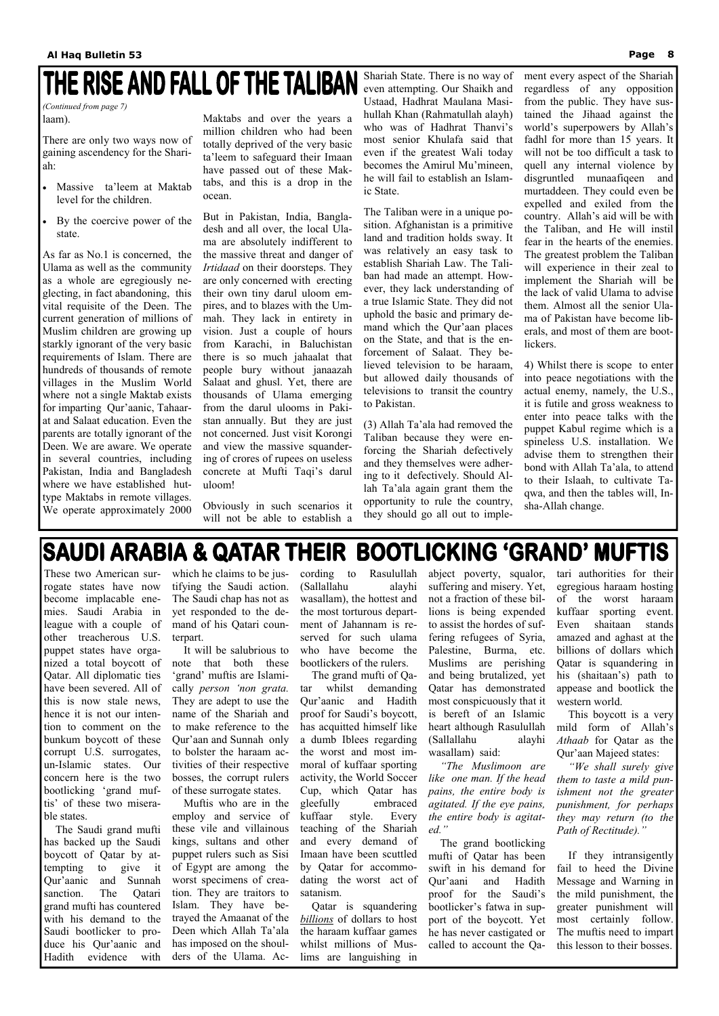There are only two ways now of gaining ascendency for the Shariah:

- Massive ta'leem at Maktab level for the children.
- By the coercive power of the state.

As far as No.1 is concerned, the Ulama as well as the community as a whole are egregiously neglecting, in fact abandoning, this vital requisite of the Deen. The current generation of millions of Muslim children are growing up starkly ignorant of the very basic requirements of Islam. There are hundreds of thousands of remote villages in the Muslim World where not a single Maktab exists for imparting Qur'aanic, Tahaarat and Salaat education. Even the parents are totally ignorant of the Deen. We are aware. We operate in several countries, including Pakistan, India and Bangladesh where we have established huttype Maktabs in remote villages. We operate approximately 2000

Maktabs and over the years a million children who had been totally deprived of the very basic ta'leem to safeguard their Imaan have passed out of these Maktabs, and this is a drop in the ocean.

But in Pakistan, India, Bangladesh and all over, the local Ulama are absolutely indifferent to the massive threat and danger of *Irtidaad* on their doorsteps. They are only concerned with erecting their own tiny darul uloom empires, and to blazes with the Ummah. They lack in entirety in vision. Just a couple of hours from Karachi, in Baluchistan there is so much jahaalat that people bury without janaazah Salaat and ghusl. Yet, there are thousands of Ulama emerging from the darul ulooms in Pakistan annually. But they are just not concerned. Just visit Korongi and view the massive squandering of crores of rupees on useless concrete at Mufti Taqi's darul uloom!

Obviously in such scenarios it will not be able to establish a

Shariah State. There is no way of even attempting. Our Shaikh and Ustaad, Hadhrat Maulana Masihullah Khan (Rahmatullah alayh) who was of Hadhrat Thanvi's most senior Khulafa said that even if the greatest Wali today becomes the Amirul Mu'mineen, he will fail to establish an Islamic State.

laam). *(Continued from page 7)* 

> The Taliban were in a unique position. Afghanistan is a primitive land and tradition holds sway. It was relatively an easy task to establish Shariah Law. The Taliban had made an attempt. However, they lack understanding of a true Islamic State. They did not uphold the basic and primary demand which the Qur'aan places on the State, and that is the enforcement of Salaat. They believed television to be haraam, but allowed daily thousands of televisions to transit the country to Pakistan.

> (3) Allah Ta'ala had removed the Taliban because they were enforcing the Shariah defectively and they themselves were adhering to it defectively. Should Allah Ta'ala again grant them the opportunity to rule the country, they should go all out to imple

ment every aspect of the Shariah regardless of any opposition from the public. They have sustained the Jihaad against the world's superpowers by Allah's fadhl for more than 15 years. It will not be too difficult a task to quell any internal violence by disgruntled munaafiqeen and murtaddeen. They could even be expelled and exiled from the country. Allah's aid will be with the Taliban, and He will instil fear in the hearts of the enemies. The greatest problem the Taliban will experience in their zeal to implement the Shariah will be the lack of valid Ulama to advise them. Almost all the senior Ulama of Pakistan have become liberals, and most of them are bootlickers.

4) Whilst there is scope to enter into peace negotiations with the actual enemy, namely, the U.S., it is futile and gross weakness to enter into peace talks with the puppet Kabul regime which is a spineless U.S. installation. We advise them to strengthen their bond with Allah Ta'ala, to attend to their Islaah, to cultivate Taqwa, and then the tables will, Insha-Allah change.

## SAUDI ARABIA & QATAR THEIR BOOTLICKING 'GRAND' MUFTIS

These two American surrogate states have now become implacable enemies. Saudi Arabia in league with a couple of other treacherous U.S. puppet states have organized a total boycott of Qatar. All diplomatic ties have been severed. All of this is now stale news, hence it is not our intention to comment on the bunkum boycott of these corrupt U.S. surrogates, un-Islamic states. Our tivities of their respective concern here is the two bootlicking 'grand muftis' of these two miserable states. The Saudi grand mufti has backed up the Saudi boycott of Qatar by attempting to give it Qur'aanic and Sunnah sanction. The Qatari grand mufti has countered with his demand to the Saudi bootlicker to produce his Qur'aanic and Hadith evidence with

which he claims to be justifying the Saudi action. The Saudi chap has not as yet responded to the demand of his Qatari counterpart.

 It will be salubrious to note that both these 'grand' muftis are Islamically *person 'non grata.*  They are adept to use the name of the Shariah and to make reference to the Qur'aan and Sunnah only to bolster the haraam acbosses, the corrupt rulers of these surrogate states. Muftis who are in the employ and service of these vile and villainous kings, sultans and other puppet rulers such as Sisi of Egypt are among the worst specimens of creation. They are traitors to Islam. They have betrayed the Amaanat of the Deen which Allah Ta'ala has imposed on the shoulders of the Ulama. Ac-

cording to Rasulullah (Sallallahu alayhi wasallam), the hottest and the most torturous department of Jahannam is reserved for such ulama who have become the bootlickers of the rulers.

 The grand mufti of Qatar whilst demanding Qur'aanic and Hadith proof for Saudi's boycott, has acquitted himself like a dumb Iblees regarding the worst and most immoral of kuffaar sporting activity, the World Soccer Cup, which Qatar has gleefully embraced kuffaar style. Every teaching of the Shariah and every demand of Imaan have been scuttled by Qatar for accommodating the worst act of satanism. Qatar is squandering *billions* of dollars to host the haraam kuffaar games whilst millions of Muslims are languishing in

abject poverty, squalor, suffering and misery. Yet, not a fraction of these billions is being expended to assist the hordes of suffering refugees of Syria, Palestine, Burma, etc. Muslims are perishing and being brutalized, yet Qatar has demonstrated most conspicuously that it is bereft of an Islamic heart although Rasulullah (Sallallahu alayhi wasallam) said:

*"The Muslimoon are* 

*like one man. If the head pains, the entire body is agitated. If the eye pains, the entire body is agitated."* 

 The grand bootlicking mufti of Qatar has been swift in his demand for Qur'aani and Hadith proof for the Saudi's bootlicker's fatwa in support of the boycott. Yet he has never castigated or called to account the Qatari authorities for their egregious haraam hosting of the worst haraam kuffaar sporting event. Even shaitaan stands amazed and aghast at the billions of dollars which Qatar is squandering in his (shaitaan's) path to appease and bootlick the western world.

 This boycott is a very mild form of Allah's *Athaab* for Qatar as the Qur'aan Majeed states:

*"We shall surely give them to taste a mild punishment not the greater punishment, for perhaps they may return (to the Path of Rectitude)."* 

 If they intransigently fail to heed the Divine Message and Warning in the mild punishment, the greater punishment will most certainly follow. The muftis need to impart this lesson to their bosses.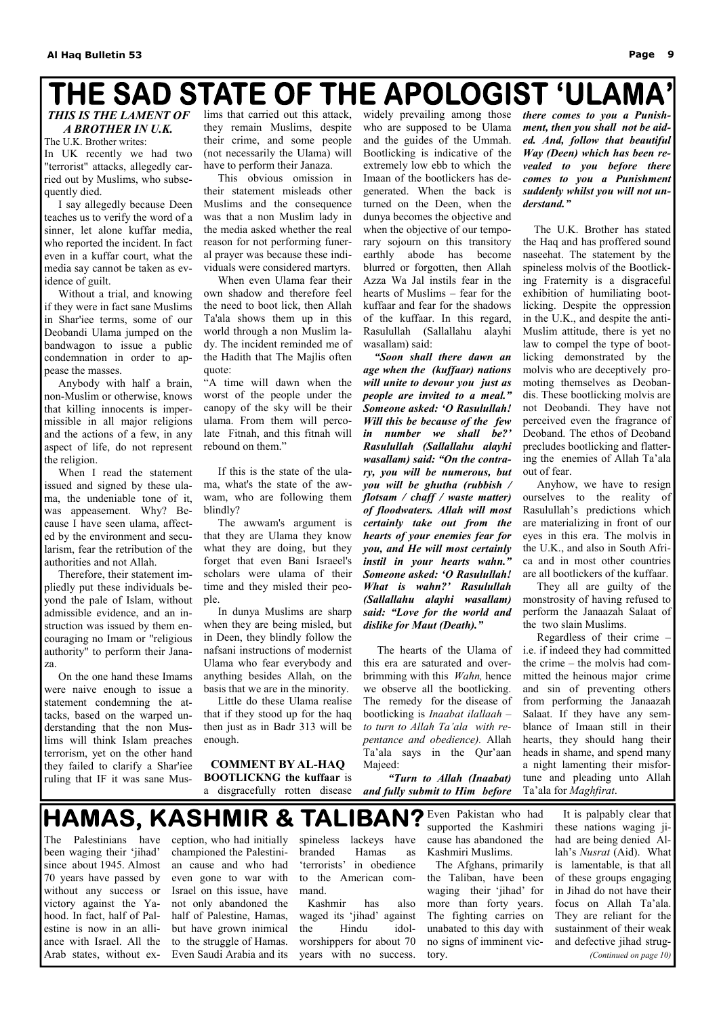### THE SAD STATE OF THE APOLOGIST 'ULAMA' *THIS IS THE LAMENT OF*

*A BROTHER IN U.K.* 

The U.K. Brother writes:

In UK recently we had two "terrorist" attacks, allegedly carried out by Muslims, who subsequently died.

 I say allegedly because Deen teaches us to verify the word of a sinner, let alone kuffar media, who reported the incident. In fact even in a kuffar court, what the media say cannot be taken as evidence of guilt.

 Without a trial, and knowing if they were in fact sane Muslims in Shar'iee terms, some of our Deobandi Ulama jumped on the bandwagon to issue a public condemnation in order to appease the masses.

 Anybody with half a brain, non-Muslim or otherwise, knows that killing innocents is impermissible in all major religions and the actions of a few, in any aspect of life, do not represent the religion.

 When I read the statement issued and signed by these ulama, the undeniable tone of it, was appeasement. Why? Because I have seen ulama, affected by the environment and secularism, fear the retribution of the authorities and not Allah.

 Therefore, their statement impliedly put these individuals beyond the pale of Islam, without admissible evidence, and an instruction was issued by them encouraging no Imam or "religious authority" to perform their Janaza.

lims that carried out this attack, they remain Muslims, despite their crime, and some people (not necessarily the Ulama) will have to perform their Janaza.

 This obvious omission in their statement misleads other Muslims and the consequence was that a non Muslim lady in the media asked whether the real reason for not performing funeral prayer was because these individuals were considered martyrs.

 When even Ulama fear their own shadow and therefore feel the need to boot lick, then Allah Ta'ala shows them up in this world through a non Muslim lady. The incident reminded me of the Hadith that The Majlis often quote:

"A time will dawn when the worst of the people under the canopy of the sky will be their ulama. From them will percolate Fitnah, and this fitnah will rebound on them."

 If this is the state of the ulama, what's the state of the awwam, who are following them blindly?

 The awwam's argument is that they are Ulama they know what they are doing, but they forget that even Bani Israeel's scholars were ulama of their time and they misled their people.

 In dunya Muslims are sharp when they are being misled, but in Deen, they blindly follow the nafsani instructions of modernist Ulama who fear everybody and anything besides Allah, on the

widely prevailing among those who are supposed to be Ulama and the guides of the Ummah. Bootlicking is indicative of the extremely low ebb to which the Imaan of the bootlickers has degenerated. When the back is turned on the Deen, when the dunya becomes the objective and when the objective of our temporary sojourn on this transitory earthly abode has become blurred or forgotten, then Allah Azza Wa Jal instils fear in the hearts of Muslims – fear for the kuffaar and fear for the shadows of the kuffaar. In this regard, Rasulullah (Sallallahu alayhi wasallam) said:

 On the one hand these Imams were naive enough to issue a statement condemning the attacks, based on the warped understanding that the non Muslims will think Islam preaches terrorism, yet on the other hand they failed to clarify a Shar'iee ruling that IF it was sane Mus-**BOOTLICKNG the kuffaar** is basis that we are in the minority. Little do these Ulama realise that if they stood up for the haq then just as in Badr 313 will be enough. **COMMENT BY AL-HAQ**  a disgracefully rotten disease *and fully submit to Him before*  Ta'ala for *Maghfirat*. we observe all the bootlicking. The remedy for the disease of bootlicking is *Inaabat ilallaah – to turn to Allah Ta'ala with repentance and obedience).* Allah Ta'ala says in the Qur'aan Majeed: *"Turn to Allah (Inaabat)*  tune and pleading unto Allah and sin of preventing others from performing the Janaazah Salaat. If they have any semblance of Imaan still in their hearts, they should hang their heads in shame, and spend many a night lamenting their misfor-

 *"Soon shall there dawn an age when the (kuffaar) nations will unite to devour you just as people are invited to a meal." Someone asked: 'O Rasulullah! Will this be because of the few in number we shall be?' Rasulullah (Sallallahu alayhi wasallam) said: "On the contrary, you will be numerous, but you will be ghutha (rubbish / flotsam / chaff / waste matter) of floodwaters. Allah will most certainly take out from the hearts of your enemies fear for you, and He will most certainly instil in your hearts wahn." Someone asked: 'O Rasulullah! What is wahn?' Rasulullah (Sallallahu alayhi wasallam) said: "Love for the world and dislike for Maut (Death)."*

The hearts of the Ulama of this era are saturated and overbrimming with this *Wahn,* hence

*there comes to you a Punishment, then you shall not be aided. And, follow that beautiful Way (Deen) which has been revealed to you before there comes to you a Punishment suddenly whilst you will not understand."* 

 The U.K. Brother has stated the Haq and has proffered sound naseehat. The statement by the spineless molvis of the Bootlicking Fraternity is a disgraceful exhibition of humiliating bootlicking. Despite the oppression in the U.K., and despite the anti-Muslim attitude, there is yet no law to compel the type of bootlicking demonstrated by the molvis who are deceptively promoting themselves as Deobandis. These bootlicking molvis are not Deobandi. They have not perceived even the fragrance of Deoband. The ethos of Deoband precludes bootlicking and flattering the enemies of Allah Ta'ala out of fear.

 Anyhow, we have to resign ourselves to the reality of Rasulullah's predictions which are materializing in front of our eyes in this era. The molvis in the U.K., and also in South Africa and in most other countries are all bootlickers of the kuffaar.

 They all are guilty of the monstrosity of having refused to perform the Janaazah Salaat of the two slain Muslims.

 Regardless of their crime – i.e. if indeed they had committed the crime – the molvis had committed the heinous major crime

## **HAMAS, KASHMIR & TALIBAN?** Even Pakistan who had

The Palestinians have been waging their 'jihad' since about 1945. Almost 70 years have passed by without any success or victory against the Yahood. In fact, half of Palestine is now in an alliance with Israel. All the Arab states, without exception, who had initially championed the Palestinian cause and who had even gone to war with Israel on this issue, have not only abandoned the half of Palestine, Hamas, but have grown inimical to the struggle of Hamas. Even Saudi Arabia and its

spineless lackeys have branded Hamas as 'terrorists' in obedience to the American command.

 Kashmir has also waged its 'jihad' against the Hindu idolworshippers for about 70 years with no success.

supported the Kashmiri cause has abandoned the Kashmiri Muslims. The Afghans, primarily the Taliban, have been waging their 'jihad' for more than forty years. The fighting carries on unabated to this day with no signs of imminent victory.

 It is palpably clear that these nations waging jihad are being denied Allah's *Nusrat* (Aid). What is lamentable, is that all of these groups engaging in Jihad do not have their focus on Allah Ta'ala. They are reliant for the sustainment of their weak and defective jihad strug- *(Continued on page 10)*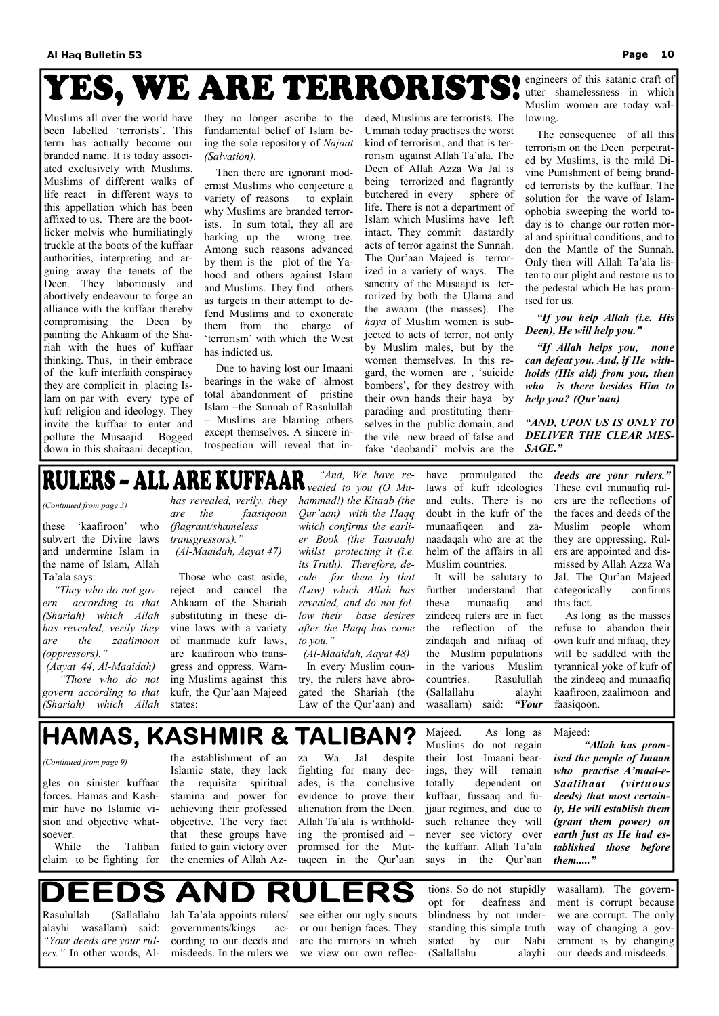# YES, WE ARE TERRORISTS!

Muslims all over the world have been labelled 'terrorists'. This term has actually become our branded name. It is today associated exclusively with Muslims. Muslims of different walks of life react in different ways to this appellation which has been affixed to us. There are the bootlicker molvis who humiliatingly truckle at the boots of the kuffaar authorities, interpreting and arguing away the tenets of the Deen. They laboriously and abortively endeavour to forge an alliance with the kuffaar thereby compromising the Deen by painting the Ahkaam of the Shariah with the hues of kuffaar thinking. Thus, in their embrace of the kufr interfaith conspiracy they are complicit in placing Islam on par with every type of kufr religion and ideology. They invite the kuffaar to enter and pollute the Musaajid. Bogged down in this shaitaani deception,

they no longer ascribe to the fundamental belief of Islam being the sole repository of *Najaat (Salvation)*.

 Then there are ignorant modernist Muslims who conjecture a variety of reasons to explain why Muslims are branded terrorists. In sum total, they all are barking up the wrong tree. Among such reasons advanced by them is the plot of the Yahood and others against Islam and Muslims. They find others as targets in their attempt to defend Muslims and to exonerate them from the charge of 'terrorism' with which the West has indicted us.

 Due to having lost our Imaani bearings in the wake of almost total abandonment of pristine Islam –the Sunnah of Rasulullah – Muslims are blaming others except themselves. A sincere introspection will reveal that in-

#### **RULERS - ALL ARE KUFFAAR**  *"And, We have revealed to you (O Mu-*

deed, Muslims are terrorists. The Ummah today practises the worst kind of terrorism, and that is terrorism against Allah Ta'ala. The Deen of Allah Azza Wa Jal is being terrorized and flagrantly butchered in every sphere of life. There is not a department of Islam which Muslims have left intact. They commit dastardly acts of terror against the Sunnah. The Qur'aan Majeed is terrorized in a variety of ways. The sanctity of the Musaajid is terrorized by both the Ulama and the awaam (the masses). The *haya* of Muslim women is subjected to acts of terror, not only by Muslim males, but by the women themselves. In this regard, the women are , 'suicide bombers', for they destroy with their own hands their haya by parading and prostituting themselves in the public domain, and the vile new breed of false and fake 'deobandi' molvis are the

engineers of this satanic craft of utter shamelessness in which Muslim women are today wallowing.

 The consequence of all this terrorism on the Deen perpetrated by Muslims, is the mild Divine Punishment of being branded terrorists by the kuffaar. The solution for the wave of Islamophobia sweeping the world today is to change our rotten moral and spiritual conditions, and to don the Mantle of the Sunnah. Only then will Allah Ta'ala listen to our plight and restore us to the pedestal which He has promised for us.

### *"If you help Allah (i.e. His Deen), He will help you."*

 *"If Allah helps you, none can defeat you. And, if He withholds (His aid) from you, then who is there besides Him to help you? (Qur'aan)* 

*"AND, UPON US IS ONLY TO DELIVER THE CLEAR MES-SAGE."*

these 'kaafiroon' who subvert the Divine laws and undermine Islam in the name of Islam, Allah Ta'ala says:

 *"They who do not govern according to that (Shariah) which Allah has revealed, verily they are the zaalimoon (oppressors)."* 

*(Aayat 44, Al-Maaidah) "Those who do not govern according to that (Shariah) which Allah*  *has revealed, verily, they are the faasiqoon (flagrant/shameless transgressors)." (Al-Maaidah, Aayat 47)* 

 Those who cast aside, reject and cancel the Ahkaam of the Shariah substituting in these divine laws with a variety of manmade kufr laws, are kaafiroon who transgress and oppress. Warning Muslims against this kufr, the Qur'aan Majeed states:

*hammad!) the Kitaab (the Qur'aan) with the Haqq which confirms the earlier Book (the Tauraah) whilst protecting it (i.e. its Truth). Therefore, decide for them by that (Law) which Allah has revealed, and do not follow their base desires after the Haqq has come to you."* 

*(Al-Maaidah, Aayat 48)*  In every Muslim country, the rulers have abrogated the Shariah (the Law of the Qur'aan) and have promulgated the laws of kufr ideologies and cults. There is no doubt in the kufr of the munaafiqeen and zanaadaqah who are at the helm of the affairs in all Muslim countries.

 It will be salutary to further understand that these munaafiq and zindeeq rulers are in fact the reflection of the zindaqah and nifaaq of the Muslim populations in the various Muslim countries. Rasulullah (Sallallahu alayhi wasallam) said: *"Your* 

*deeds are your rulers."*  These evil munaafiq rulers are the reflections of the faces and deeds of the Muslim people whom they are oppressing. Rulers are appointed and dismissed by Allah Azza Wa Jal. The Qur'an Majeed categorically confirms this fact.

 As long as the masses refuse to abandon their own kufr and nifaaq, they will be saddled with the tyrannical yoke of kufr of the zindeeq and munaafiq kaafiroon, zaalimoon and faasiqoon.

## HAMAS, KASHMIR & TALIBAN?

*(Continued from page 3)* 

gles on sinister kuffaar forces. Hamas and Kashmir have no Islamic vision and objective whatsoever. While the Taliban claim to be fighting for the establishment of an Islamic state, they lack the requisite spiritual stamina and power for achieving their professed objective. The very fact that these groups have failed to gain victory over the enemies of Allah Az-Wa Jal despite fighting for many decades, is the conclusive evidence to prove their alienation from the Deen. Allah Ta'ala is withholding the promised aid – promised for the Muttaqeen in the Qur'aan their lost Imaani bearings, they will remain totally dependent on kuffaar, fussaaq and fujjaar regimes, and due to such reliance they will never see victory over the kuffaar. Allah Ta'ala says in the Our'aan *who practise A'maal-e-Saalihaat (virtuous deeds) that most certainly, He will establish them (grant them power) on earth just as He had established those before them....."*

Majeed. As long as Muslims do not regain Majeed:

 *"Allah has promised the people of Imaan* 

### **DEEDS AND RULERS**

*(Continued from page 9)* 

Rasulullah (Sallallahu alayhi wasallam) said: *"Your deeds are your rulers."* In other words, Allah Ta'ala appoints rulers/ governments/kings according to our deeds and misdeeds. In the rulers we

see either our ugly snouts or our benign faces. They are the mirrors in which we view our own reflec-

tions. So do not stupidly opt for deafness and blindness by not understanding this simple truth stated by our Nabi (Sallallahu alayhi wasallam). The government is corrupt because we are corrupt. The only way of changing a government is by changing our deeds and misdeeds.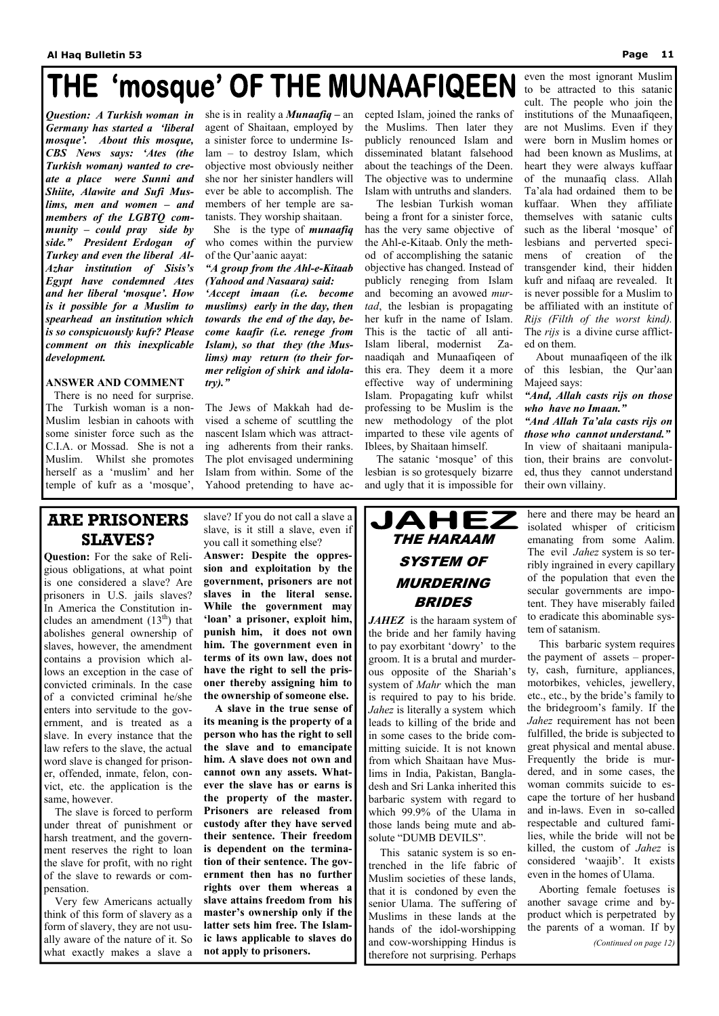## THE 'mosque' OF THE MUNAAFIQEEN

*Question: A Turkish woman in Germany has started a 'liberal mosque'. About this mosque, CBS News says: 'Ates (the Turkish woman) wanted to create a place were Sunni and Shiite, Alawite and Sufi Muslims, men and women – and members of the LGBTQ community – could pray side by side." President Erdogan of Turkey and even the liberal Al-Azhar institution of Sisis's Egypt have condemned Ates and her liberal 'mosque'. How is it possible for a Muslim to spearhead an institution which is so conspicuously kufr? Please comment on this inexplicable development.* 

#### **ANSWER AND COMMENT**

 There is no need for surprise. The Turkish woman is a non-Muslim lesbian in cahoots with some sinister force such as the C.I.A. or Mossad. She is not a Muslim. Whilst she promotes herself as a 'muslim' and her temple of kufr as a 'mosque',

she is in reality a *Munaafiq* **–** an agent of Shaitaan, employed by a sinister force to undermine Islam – to destroy Islam, which objective most obviously neither she nor her sinister handlers will ever be able to accomplish. The members of her temple are satanists. They worship shaitaan.

 She is the type of *munaafiq*  who comes within the purview of the Qur'aanic aayat:

*"A group from the Ahl-e-Kitaab (Yahood and Nasaara) said:* 

*'Accept imaan (i.e. become muslims) early in the day, then towards the end of the day, become kaafir (i.e. renege from Islam), so that they (the Muslims) may return (to their former religion of shirk and idolatry)."* 

The Jews of Makkah had devised a scheme of scuttling the nascent Islam which was attracting adherents from their ranks. The plot envisaged undermining Islam from within. Some of the Yahood pretending to have accepted Islam, joined the ranks of the Muslims. Then later they publicly renounced Islam and disseminated blatant falsehood about the teachings of the Deen. The objective was to undermine Islam with untruths and slanders.

 The lesbian Turkish woman being a front for a sinister force, has the very same objective of the Ahl-e-Kitaab. Only the method of accomplishing the satanic objective has changed. Instead of publicly reneging from Islam and becoming an avowed *murtad*, the lesbian is propagating her kufr in the name of Islam. This is the tactic of all anti-Islam liberal, modernist Zanaadiqah and Munaafiqeen of this era. They deem it a more effective way of undermining Islam. Propagating kufr whilst professing to be Muslim is the new methodology of the plot imparted to these vile agents of Iblees, by Shaitaan himself.

 The satanic 'mosque' of this lesbian is so grotesquely bizarre and ugly that it is impossible for

### JAHEZ THE HARAAM SYSTEM OF MURDERING BRIDES



 About munaafiqeen of the ilk of this lesbian, the Qur'aan Majeed says:

*"And, Allah casts rijs on those who have no Imaan." "And Allah Ta'ala casts rijs on those who cannot understand."*  In view of shaitaani manipulation, their brains are convoluted, thus they cannot understand

their own villainy.

### **ARE PRISONERS SLAVES?**

**Question:** For the sake of Religious obligations, at what point is one considered a slave? Are prisoners in U.S. jails slaves? In America the Constitution includes an amendment  $(13<sup>th</sup>)$  that abolishes general ownership of slaves, however, the amendment contains a provision which allows an exception in the case of convicted criminals. In the case of a convicted criminal he/she enters into servitude to the government, and is treated as a slave. In every instance that the law refers to the slave, the actual word slave is changed for prison-

er, offended, inmate, felon, convict, etc. the application is the same, however.

 The slave is forced to perform under threat of punishment or harsh treatment, and the government reserves the right to loan the slave for profit, with no right of the slave to rewards or compensation.

 Very few Americans actually think of this form of slavery as a form of slavery, they are not usually aware of the nature of it. So what exactly makes a slave a slave? If you do not call a slave a slave, is it still a slave, even if you call it something else?

**Answer: Despite the oppression and exploitation by the government, prisoners are not slaves in the literal sense. While the government may 'loan' a prisoner, exploit him, punish him, it does not own him. The government even in terms of its own law, does not have the right to sell the prisoner thereby assigning him to the ownership of someone else.** 

 **A slave in the true sense of its meaning is the property of a person who has the right to sell the slave and to emancipate him. A slave does not own and** 

**cannot own any assets. Whatever the slave has or earns is the property of the master. Prisoners are released from custody after they have served their sentence. Their freedom is dependent on the termination of their sentence. The government then has no further rights over them whereas a slave attains freedom from his master's ownership only if the latter sets him free. The Islamic laws applicable to slaves do not apply to prisoners.** 

*JAHEZ* is the haraam system of the bride and her family having to pay exorbitant 'dowry' to the groom. It is a brutal and murderous opposite of the Shariah's system of *Mahr* which the man is required to pay to his bride. *Jahez* is literally a system which leads to killing of the bride and in some cases to the bride committing suicide. It is not known from which Shaitaan have Muslims in India, Pakistan, Bangladesh and Sri Lanka inherited this barbaric system with regard to which 99.9% of the Ulama in those lands being mute and absolute "DUMB DEVILS". This satanic system is so entrenched in the life fabric of Muslim societies of these lands, that it is condoned by even the senior Ulama. The suffering of Muslims in these lands at the hands of the idol-worshipping and cow-worshipping Hindus is therefore not surprising. Perhaps

here and there may be heard an isolated whisper of criticism emanating from some Aalim. The evil *Jahez* system is so terribly ingrained in every capillary of the population that even the secular governments are impotent. They have miserably failed to eradicate this abominable system of satanism.

 This barbaric system requires the payment of assets – property, cash, furniture, appliances, motorbikes, vehicles, jewellery, etc., etc., by the bride's family to the bridegroom's family. If the *Jahez* requirement has not been fulfilled, the bride is subjected to great physical and mental abuse. Frequently the bride is murdered, and in some cases, the woman commits suicide to escape the torture of her husband and in-laws. Even in so-called respectable and cultured families, while the bride will not be killed, the custom of *Jahez* is considered 'waajib'. It exists even in the homes of Ulama.

 Aborting female foetuses is another savage crime and byproduct which is perpetrated by the parents of a woman. If by

*(Continued on page 12)*